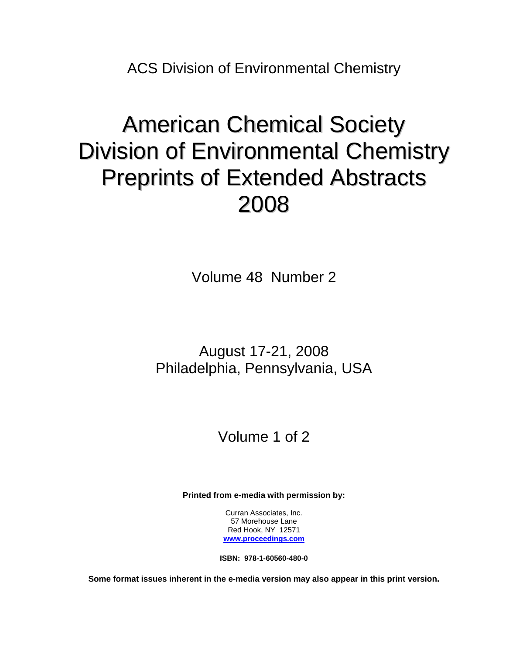ACS Division of Environmental Chemistry

# American Chemical Society Division of Environmental Chemistry Preprints of Extended Abstracts 2008

Volume 48 Number 2

## August 17-21, 2008 Philadelphia, Pennsylvania, USA

# Volume 1 of 2

**Printed from e-media with permission by:** 

Curran Associates, Inc. 57 Morehouse Lane Red Hook, NY 12571 **[www.proceedings.com](http://www.proceedings.com/)**

**ISBN: 978-1-60560-480-0** 

**Some format issues inherent in the e-media version may also appear in this print version.**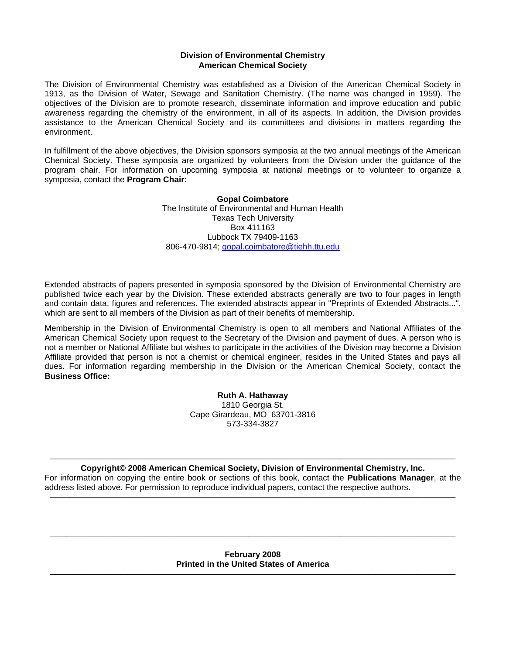#### **Division of Environmental Chemistry American Chemical Society**

The Division of Environmental Chemistry was established as a Division of the American Chemical Society in 1913, as the Division of Water, Sewage and Sanitation Chemistry. (The name was changed in 1959). The objectives of the Division are to promote research, disseminate information and improve education and public awareness regarding the chemistry of the environment, in all of its aspects. In addition, the Division provides assistance to the American Chemical Society and its committees and divisions in matters regarding the environment.

In fulfillment of the above objectives, the Division sponsors symposia at the two annual meetings of the American Chemical Society. These symposia are organized by volunteers from the Division under the guidance of the program chair. For information on upcoming symposia at national meetings or to volunteer to organize a symposia, contact the **Program Chair:**

> **Gopal Coimbatore** The Institute of Environmental and Human Health Texas Tech University Box 411163 Lubbock TX 79409-1163 806-470-9814; gopal.coimbatore@tiehh.ttu.edu

Extended abstracts of papers presented in symposia sponsored by the Division of Environmental Chemistry are published twice each year by the Division. These extended abstracts generally are two to four pages in length and contain data, figures and references. The extended abstracts appear in "Preprints of Extended Abstracts...", which are sent to all members of the Division as part of their benefits of membership.

Membership in the Division of Environmental Chemistry is open to all members and National Affiliates of the American Chemical Society upon request to the Secretary of the Division and payment of dues. A person who is not a member or National Affiliate but wishes to participate in the activities of the Division may become a Division Affiliate provided that person is not a chemist or chemical engineer, resides in the United States and pays all dues. For information regarding membership in the Division or the American Chemical Society, contact the **Business Office:**

> **Ruth A. Hathaway**  1810 Georgia St. Cape Girardeau, MO 63701-3816 573-334-3827

#### **————————————————————————————————————————————————— Copyright© 2008 American Chemical Society, Division of Environmental Chemistry, Inc.**

For information on copying the entire book or sections of this book, contact the **Publications Manager**, at the address listed above. For permission to reproduce individual papers, contact the respective authors. **—————————————————————————————————————————————————**

#### **February 2008 Printed in the United States of America —————————————————————————————————————————————————**

**—————————————————————————————————————————————————**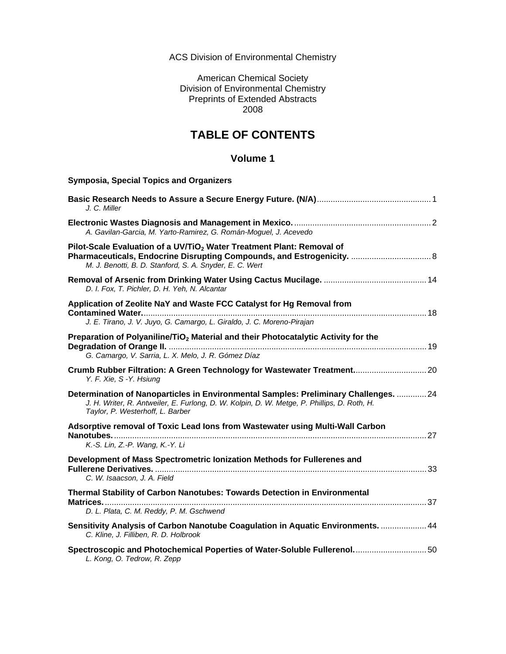ACS Division of Environmental Chemistry

American Chemical Society Division of Environmental Chemistry Preprints of Extended Abstracts 2008

### **TABLE OF CONTENTS**

### **Volume 1**

| <b>Symposia, Special Topics and Organizers</b>                                                                                                                                                                          |  |
|-------------------------------------------------------------------------------------------------------------------------------------------------------------------------------------------------------------------------|--|
| J. C. Miller                                                                                                                                                                                                            |  |
| A. Gavilan-Garcia, M. Yarto-Ramirez, G. Román-Moguel, J. Acevedo                                                                                                                                                        |  |
| Pilot-Scale Evaluation of a UV/TiO <sub>2</sub> Water Treatment Plant: Removal of<br>M. J. Benotti, B. D. Stanford, S. A. Snyder, E. C. Wert                                                                            |  |
| D. I. Fox, T. Pichler, D. H. Yeh, N. Alcantar                                                                                                                                                                           |  |
| Application of Zeolite NaY and Waste FCC Catalyst for Hg Removal from<br>J. E. Tirano, J. V. Juyo, G. Camargo, L. Giraldo, J. C. Moreno-Pirajan                                                                         |  |
| Preparation of Polyaniline/TiO <sub>2</sub> Material and their Photocatalytic Activity for the<br>G. Camargo, V. Sarria, L. X. Melo, J. R. Gómez Díaz                                                                   |  |
| Crumb Rubber Filtration: A Green Technology for Wastewater Treatment 20<br>Y. F. Xie, S - Y. Hsiung                                                                                                                     |  |
| Determination of Nanoparticles in Environmental Samples: Preliminary Challenges.  24<br>J. H. Writer, R. Antweiler, E. Furlong, D. W. Kolpin, D. W. Metge, P. Phillips, D. Roth, H.<br>Taylor, P. Westerhoff, L. Barber |  |
| Adsorptive removal of Toxic Lead lons from Wastewater using Multi-Wall Carbon                                                                                                                                           |  |
| K.-S. Lin, Z.-P. Wang, K.-Y. Li                                                                                                                                                                                         |  |
| Development of Mass Spectrometric lonization Methods for Fullerenes and<br>C. W. Isaacson, J. A. Field                                                                                                                  |  |
| Thermal Stability of Carbon Nanotubes: Towards Detection in Environmental<br>D. L. Plata, C. M. Reddy, P. M. Gschwend                                                                                                   |  |
| Sensitivity Analysis of Carbon Nanotube Coagulation in Aquatic Environments.  44<br>C. Kline, J. Filliben, R. D. Holbrook                                                                                               |  |
| Spectroscopic and Photochemical Poperties of Water-Soluble Fullerenol 50<br>L. Kong, O. Tedrow, R. Zepp                                                                                                                 |  |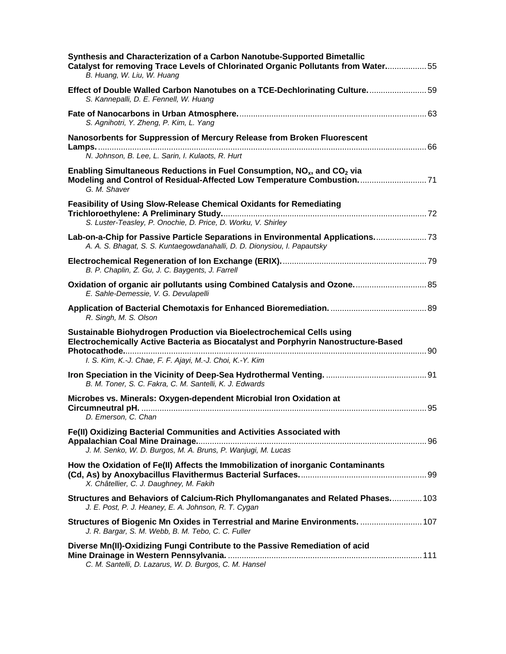| Synthesis and Characterization of a Carbon Nanotube-Supported Bimetallic<br>Catalyst for removing Trace Levels of Chlorinated Organic Pollutants from Water55<br>B. Huang, W. Liu, W. Huang                              |
|--------------------------------------------------------------------------------------------------------------------------------------------------------------------------------------------------------------------------|
| Effect of Double Walled Carbon Nanotubes on a TCE-Dechlorinating Culture 59<br>S. Kannepalli, D. E. Fennell, W. Huang                                                                                                    |
| S. Agnihotri, Y. Zheng, P. Kim, L. Yang                                                                                                                                                                                  |
| Nanosorbents for Suppression of Mercury Release from Broken Fluorescent                                                                                                                                                  |
| N. Johnson, B. Lee, L. Sarin, I. Kulaots, R. Hurt                                                                                                                                                                        |
| Enabling Simultaneous Reductions in Fuel Consumption, NO <sub>x</sub> , and CO <sub>2</sub> via<br>Modeling and Control of Residual-Affected Low Temperature Combustion 71<br>G. M. Shaver                               |
| <b>Feasibility of Using Slow-Release Chemical Oxidants for Remediating</b>                                                                                                                                               |
| S. Luster-Teasley, P. Onochie, D. Price, D. Worku, V. Shirley                                                                                                                                                            |
| Lab-on-a-Chip for Passive Particle Separations in Environmental Applications 73<br>A. A. S. Bhagat, S. S. Kuntaegowdanahalli, D. D. Dionysiou, I. Papautsky                                                              |
| B. P. Chaplin, Z. Gu, J. C. Baygents, J. Farrell                                                                                                                                                                         |
| Oxidation of organic air pollutants using Combined Catalysis and Ozone 85<br>E. Sahle-Demessie, V. G. Devulapelli                                                                                                        |
| R. Singh, M. S. Olson                                                                                                                                                                                                    |
| Sustainable Biohydrogen Production via Bioelectrochemical Cells using<br>Electrochemically Active Bacteria as Biocatalyst and Porphyrin Nanostructure-Based<br>I. S. Kim, K.-J. Chae, F. F. Ajayi, M.-J. Choi, K.-Y. Kim |
| B. M. Toner, S. C. Fakra, C. M. Santelli, K. J. Edwards                                                                                                                                                                  |
| Microbes vs. Minerals: Oxygen-dependent Microbial Iron Oxidation at                                                                                                                                                      |
| D. Emerson, C. Chan                                                                                                                                                                                                      |
| Fe(II) Oxidizing Bacterial Communities and Activities Associated with<br>J. M. Senko, W. D. Burgos, M. A. Bruns, P. Wanjugi, M. Lucas                                                                                    |
|                                                                                                                                                                                                                          |
| How the Oxidation of Fe(II) Affects the Immobilization of inorganic Contaminants<br>X. Châtellier, C. J. Daughney, M. Fakih                                                                                              |
| Structures and Behaviors of Calcium-Rich Phyllomanganates and Related Phases 103<br>J. E. Post, P. J. Heaney, E. A. Johnson, R. T. Cygan                                                                                 |
| Structures of Biogenic Mn Oxides in Terrestrial and Marine Environments.  107<br>J. R. Bargar, S. M. Webb, B. M. Tebo, C. C. Fuller                                                                                      |
| Diverse Mn(II)-Oxidizing Fungi Contribute to the Passive Remediation of acid<br>C. M. Santelli, D. Lazarus, W. D. Burgos, C. M. Hansel                                                                                   |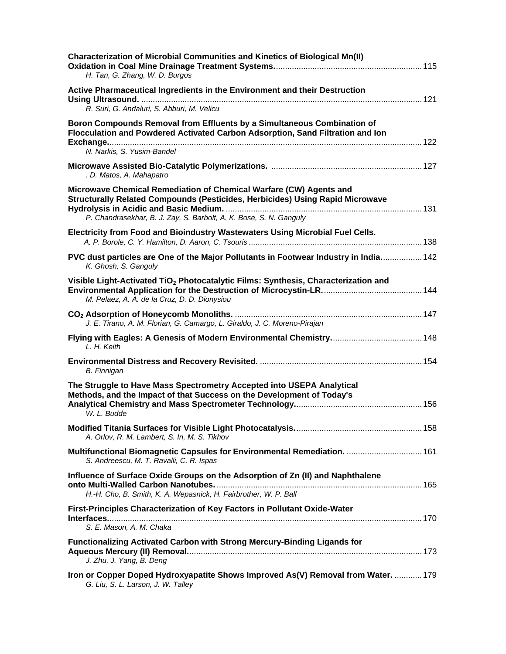| Characterization of Microbial Communities and Kinetics of Biological Mn(II)<br>H. Tan, G. Zhang, W. D. Burgos                                                                                                             |
|---------------------------------------------------------------------------------------------------------------------------------------------------------------------------------------------------------------------------|
| Active Pharmaceutical Ingredients in the Environment and their Destruction<br>R. Suri, G. Andaluri, S. Abburi, M. Velicu                                                                                                  |
| Boron Compounds Removal from Effluents by a Simultaneous Combination of<br>Flocculation and Powdered Activated Carbon Adsorption, Sand Filtration and Ion                                                                 |
| N. Narkis, S. Yusim-Bandel                                                                                                                                                                                                |
| . D. Matos, A. Mahapatro                                                                                                                                                                                                  |
| Microwave Chemical Remediation of Chemical Warfare (CW) Agents and<br>Structurally Related Compounds (Pesticides, Herbicides) Using Rapid Microwave<br>P. Chandrasekhar, B. J. Zay, S. Barbolt, A. K. Bose, S. N. Ganguly |
| Electricity from Food and Bioindustry Wastewaters Using Microbial Fuel Cells.                                                                                                                                             |
| PVC dust particles are One of the Major Pollutants in Footwear Industry in India 142<br>K. Ghosh, S. Ganguly                                                                                                              |
| Visible Light-Activated TiO <sub>2</sub> Photocatalytic Films: Synthesis, Characterization and<br>M. Pelaez, A. A. de la Cruz, D. D. Dionysiou                                                                            |
| J. E. Tirano, A. M. Florian, G. Camargo, L. Giraldo, J. C. Moreno-Pirajan                                                                                                                                                 |
| L. H. Keith                                                                                                                                                                                                               |
| <b>B.</b> Finnigan                                                                                                                                                                                                        |
| The Struggle to Have Mass Spectrometry Accepted into USEPA Analytical<br>Methods, and the Impact of that Success on the Development of Today's<br>W. L. Budde                                                             |
| A. Orlov, R. M. Lambert, S. In, M. S. Tikhov                                                                                                                                                                              |
| Multifunctional Biomagnetic Capsules for Environmental Remediation.  161<br>S. Andreescu, M. T. Ravalli, C. R. Ispas                                                                                                      |
| Influence of Surface Oxide Groups on the Adsorption of Zn (II) and Naphthalene<br>H.-H. Cho, B. Smith, K. A. Wepasnick, H. Fairbrother, W. P. Ball                                                                        |
| First-Principles Characterization of Key Factors in Pollutant Oxide-Water<br>S. E. Mason, A. M. Chaka                                                                                                                     |
| Functionalizing Activated Carbon with Strong Mercury-Binding Ligands for<br>J. Zhu, J. Yang, B. Deng                                                                                                                      |
| Iron or Copper Doped Hydroxyapatite Shows Improved As(V) Removal from Water.  179<br>G. Liu, S. L. Larson, J. W. Talley                                                                                                   |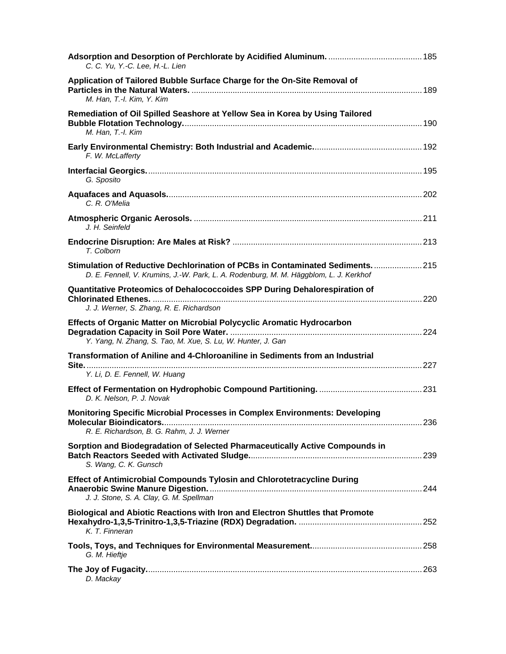| C. C. Yu, Y.-C. Lee, H.-L. Lien                                                                                                                                        |  |
|------------------------------------------------------------------------------------------------------------------------------------------------------------------------|--|
| Application of Tailored Bubble Surface Charge for the On-Site Removal of<br>M. Han, T.-I. Kim, Y. Kim                                                                  |  |
| Remediation of Oil Spilled Seashore at Yellow Sea in Korea by Using Tailored<br>M. Han, T.-I. Kim                                                                      |  |
| F. W. McLafferty                                                                                                                                                       |  |
| G. Sposito                                                                                                                                                             |  |
| C. R. O'Melia                                                                                                                                                          |  |
| J. H. Seinfeld                                                                                                                                                         |  |
| T. Colborn                                                                                                                                                             |  |
| Stimulation of Reductive Dechlorination of PCBs in Contaminated Sediments 215<br>D. E. Fennell, V. Krumins, J.-W. Park, L. A. Rodenburg, M. M. Häggblom, L. J. Kerkhof |  |
| Quantitative Proteomics of Dehalococcoides SPP During Dehalorespiration of<br>J. J. Werner, S. Zhang, R. E. Richardson                                                 |  |
| Effects of Organic Matter on Microbial Polycyclic Aromatic Hydrocarbon<br>Y. Yang, N. Zhang, S. Tao, M. Xue, S. Lu, W. Hunter, J. Gan                                  |  |
| Transformation of Aniline and 4-Chloroaniline in Sediments from an Industrial                                                                                          |  |
| Y. Li, D. E. Fennell, W. Huang                                                                                                                                         |  |
| D. K. Nelson, P. J. Novak                                                                                                                                              |  |
| <b>Monitoring Specific Microbial Processes in Complex Environments: Developing</b><br>R. E. Richardson, B. G. Rahm, J. J. Werner                                       |  |
| Sorption and Biodegradation of Selected Pharmaceutically Active Compounds in<br>S. Wang, C. K. Gunsch                                                                  |  |
| Effect of Antimicrobial Compounds Tylosin and Chlorotetracycline During<br>J. J. Stone, S. A. Clay, G. M. Spellman                                                     |  |
| Biological and Abiotic Reactions with Iron and Electron Shuttles that Promote<br>K. T. Finneran                                                                        |  |
| G. M. Hieftje                                                                                                                                                          |  |
| D. Mackay                                                                                                                                                              |  |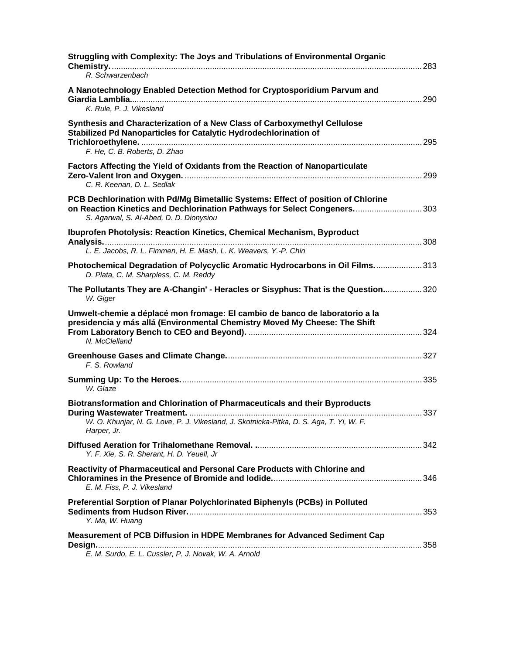| Struggling with Complexity: The Joys and Tribulations of Environmental Organic<br>R. Schwarzenbach                                                                                                      |  |
|---------------------------------------------------------------------------------------------------------------------------------------------------------------------------------------------------------|--|
| A Nanotechnology Enabled Detection Method for Cryptosporidium Parvum and<br>K. Rule, P. J. Vikesland                                                                                                    |  |
| Synthesis and Characterization of a New Class of Carboxymethyl Cellulose<br>Stabilized Pd Nanoparticles for Catalytic Hydrodechlorination of<br>F. He, C. B. Roberts, D. Zhao                           |  |
| Factors Affecting the Yield of Oxidants from the Reaction of Nanoparticulate<br>C. R. Keenan, D. L. Sedlak                                                                                              |  |
| PCB Dechlorination with Pd/Mg Bimetallic Systems: Effect of position of Chlorine<br>on Reaction Kinetics and Dechlorination Pathways for Select Congeners303<br>S. Agarwal, S. Al-Abed, D. D. Dionysiou |  |
| <b>Ibuprofen Photolysis: Reaction Kinetics, Chemical Mechanism, Byproduct</b>                                                                                                                           |  |
| L. E. Jacobs, R. L. Fimmen, H. E. Mash, L. K. Weavers, Y.-P. Chin                                                                                                                                       |  |
| Photochemical Degradation of Polycyclic Aromatic Hydrocarbons in Oil Films313<br>D. Plata, C. M. Sharpless, C. M. Reddy                                                                                 |  |
| The Pollutants They are A-Changin' - Heracles or Sisyphus: That is the Question320<br>W. Giger                                                                                                          |  |
| Umwelt-chemie a déplacé mon fromage: El cambio de banco de laboratorio a la<br>presidencia y más allá (Environmental Chemistry Moved My Cheese: The Shift<br>N. McClelland                              |  |
| F. S. Rowland                                                                                                                                                                                           |  |
| W. Glaze                                                                                                                                                                                                |  |
| Biotransformation and Chlorination of Pharmaceuticals and their Byproducts<br>W. O. Khunjar, N. G. Love, P. J. Vikesland, J. Skotnicka-Pitka, D. S. Aga, T. Yi, W. F.<br>Harper, Jr.                    |  |
| Y. F. Xie, S. R. Sherant, H. D. Yeuell, Jr                                                                                                                                                              |  |
| Reactivity of Pharmaceutical and Personal Care Products with Chlorine and<br>E. M. Fiss, P. J. Vikesland                                                                                                |  |
| Preferential Sorption of Planar Polychlorinated Biphenyls (PCBs) in Polluted<br>Y. Ma, W. Huang                                                                                                         |  |
| Measurement of PCB Diffusion in HDPE Membranes for Advanced Sediment Cap<br>E. M. Surdo, E. L. Cussler, P. J. Novak, W. A. Arnold                                                                       |  |
|                                                                                                                                                                                                         |  |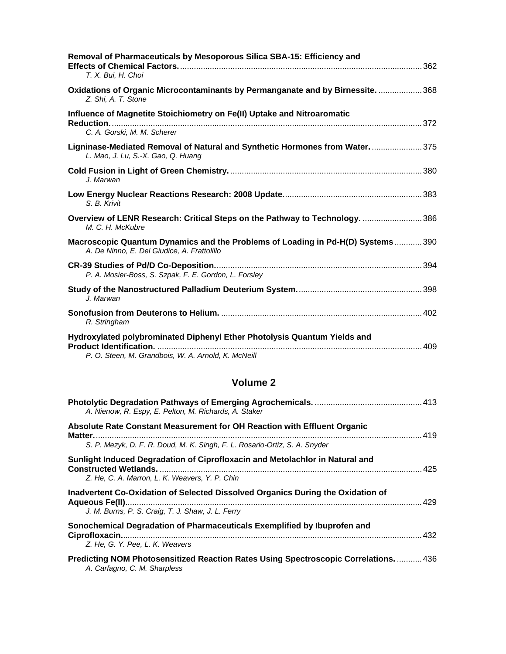| Removal of Pharmaceuticals by Mesoporous Silica SBA-15: Efficiency and<br>T. X. Bui, H. Choi                                  |  |
|-------------------------------------------------------------------------------------------------------------------------------|--|
| Oxidations of Organic Microcontaminants by Permanganate and by Birnessite.  368<br>Z. Shi, A. T. Stone                        |  |
| Influence of Magnetite Stoichiometry on Fe(II) Uptake and Nitroaromatic                                                       |  |
| C. A. Gorski, M. M. Scherer                                                                                                   |  |
| Ligninase-Mediated Removal of Natural and Synthetic Hormones from Water375<br>L. Mao, J. Lu, S.-X. Gao, Q. Huang              |  |
| J. Marwan                                                                                                                     |  |
| S. B. Krivit                                                                                                                  |  |
| Overview of LENR Research: Critical Steps on the Pathway to Technology. 386<br>M. C. H. McKubre                               |  |
| Macroscopic Quantum Dynamics and the Problems of Loading in Pd-H(D) Systems390<br>A. De Ninno, E. Del Giudice, A. Frattolillo |  |
| P. A. Mosier-Boss, S. Szpak, F. E. Gordon, L. Forsley                                                                         |  |
| J. Marwan                                                                                                                     |  |
| R. Stringham                                                                                                                  |  |
| Hydroxylated polybrominated Diphenyl Ether Photolysis Quantum Yields and                                                      |  |
| P. O. Steen, M. Grandbois, W. A. Arnold, K. McNeill                                                                           |  |

### **Volume 2**

| A. Nienow, R. Espy, E. Pelton, M. Richards, A. Staker                                                                                                          |      |
|----------------------------------------------------------------------------------------------------------------------------------------------------------------|------|
| Absolute Rate Constant Measurement for OH Reaction with Effluent Organic                                                                                       | 419  |
| S. P. Mezyk, D. F. R. Doud, M. K. Singh, F. L. Rosario-Ortiz, S. A. Snyder                                                                                     |      |
| Sunlight Induced Degradation of Ciprofloxacin and Metolachlor in Natural and<br><b>Constructed Wetlands.</b><br>Z. He, C. A. Marron, L. K. Weavers, Y. P. Chin | -425 |
| Inadvertent Co-Oxidation of Selected Dissolved Organics During the Oxidation of<br>J. M. Burns, P. S. Craig, T. J. Shaw, J. L. Ferry                           |      |
| Sonochemical Degradation of Pharmaceuticals Exemplified by Ibuprofen and<br>Z. He. G. Y. Pee. L. K. Weavers                                                    | 432  |
| Predicting NOM Photosensitized Reaction Rates Using Spectroscopic Correlations 436<br>A. Carfagno, C. M. Sharpless                                             |      |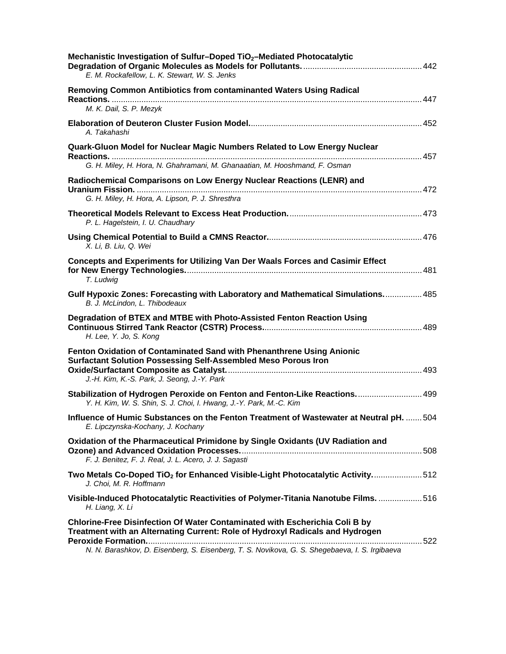| Mechanistic Investigation of Sulfur-Doped TiO <sub>2</sub> -Mediated Photocatalytic<br>E. M. Rockafellow, L. K. Stewart, W. S. Jenks                                                                                                                                  |  |
|-----------------------------------------------------------------------------------------------------------------------------------------------------------------------------------------------------------------------------------------------------------------------|--|
| Removing Common Antibiotics from contaminanted Waters Using Radical<br>M. K. Dail, S. P. Mezyk                                                                                                                                                                        |  |
| A. Takahashi                                                                                                                                                                                                                                                          |  |
| Quark-Gluon Model for Nuclear Magic Numbers Related to Low Energy Nuclear<br>G. H. Miley, H. Hora, N. Ghahramani, M. Ghanaatian, M. Hooshmand, F. Osman                                                                                                               |  |
| Radiochemical Comparisons on Low Energy Nuclear Reactions (LENR) and<br>G. H. Miley, H. Hora, A. Lipson, P. J. Shresthra                                                                                                                                              |  |
| P. L. Hagelstein, I. U. Chaudhary                                                                                                                                                                                                                                     |  |
| X. Li, B. Liu, Q. Wei                                                                                                                                                                                                                                                 |  |
| Concepts and Experiments for Utilizing Van Der Waals Forces and Casimir Effect<br>T. Ludwig                                                                                                                                                                           |  |
| Gulf Hypoxic Zones: Forecasting with Laboratory and Mathematical Simulations 485<br>B. J. McLindon, L. Thibodeaux                                                                                                                                                     |  |
| Degradation of BTEX and MTBE with Photo-Assisted Fenton Reaction Using<br>H. Lee, Y. Jo, S. Kong                                                                                                                                                                      |  |
| Fenton Oxidation of Contaminated Sand with Phenanthrene Using Anionic<br><b>Surfactant Solution Possessing Self-Assembled Meso Porous Iron</b><br>J.-H. Kim, K.-S. Park, J. Seong, J.-Y. Park                                                                         |  |
| Stabilization of Hydrogen Peroxide on Fenton and Fenton-Like Reactions 499<br>Y. H. Kim, W. S. Shin, S. J. Choi, I. Hwang, J.-Y. Park, M.-C. Kim                                                                                                                      |  |
| Influence of Humic Substances on the Fenton Treatment of Wastewater at Neutral pH.  504<br>E. Lipczynska-Kochany, J. Kochany                                                                                                                                          |  |
| Oxidation of the Pharmaceutical Primidone by Single Oxidants (UV Radiation and<br>F. J. Benitez, F. J. Real, J. L. Acero, J. J. Sagasti                                                                                                                               |  |
| Two Metals Co-Doped TiO <sub>2</sub> for Enhanced Visible-Light Photocatalytic Activity512<br>J. Choi, M. R. Hoffmann                                                                                                                                                 |  |
| Visible-Induced Photocatalytic Reactivities of Polymer-Titania Nanotube Films. 516<br>H. Liang, X. Li                                                                                                                                                                 |  |
| <b>Chlorine-Free Disinfection Of Water Contaminated with Escherichia Coli B by</b><br>Treatment with an Alternating Current: Role of Hydroxyl Radicals and Hydrogen<br>N. N. Barashkov, D. Eisenberg, S. Eisenberg, T. S. Novikova, G. S. Shegebaeva, I. S. Irgibaeva |  |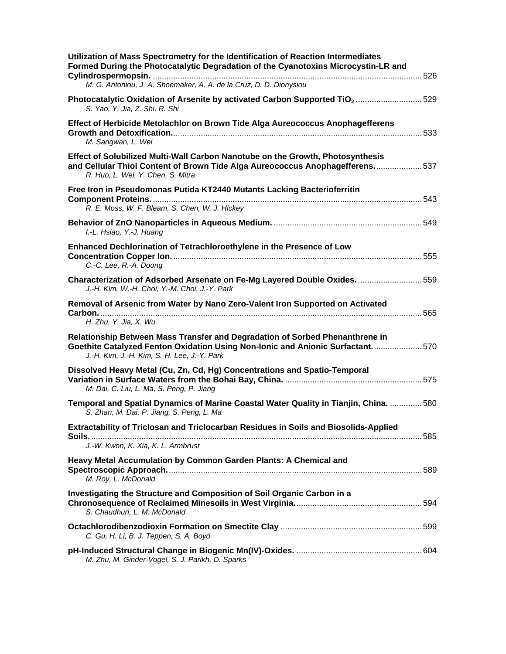| Utilization of Mass Spectrometry for the Identification of Reaction Intermediates<br>Formed During the Photocatalytic Degradation of the Cyanotoxins Microcystin-LR and<br>M. G. Antoniou, J. A. Shoemaker, A. A. de la Cruz, D. D. Dionysiou |  |
|-----------------------------------------------------------------------------------------------------------------------------------------------------------------------------------------------------------------------------------------------|--|
| Photocatalytic Oxidation of Arsenite by activated Carbon Supported TiO <sub>2</sub> 529<br>S. Yao, Y. Jia, Z. Shi, R. Shi                                                                                                                     |  |
| Effect of Herbicide Metolachlor on Brown Tide Alga Aureococcus Anophagefferens<br>M. Sangwan, L. Wei                                                                                                                                          |  |
| Effect of Solubilized Multi-Wall Carbon Nanotube on the Growth, Photosynthesis<br>and Cellular Thiol Content of Brown Tide Alga Aureococcus Anophagefferens537<br>R. Huo, L. Wei, Y. Chen, S. Mitra                                           |  |
| Free Iron in Pseudomonas Putida KT2440 Mutants Lacking Bacterioferritin<br>R. E. Moss, W. F. Bleam, S. Chen, W. J. Hickey                                                                                                                     |  |
| I.-L. Hsiao, Y.-J. Huang                                                                                                                                                                                                                      |  |
| Enhanced Dechlorination of Tetrachloroethylene in the Presence of Low<br>C.-C. Lee, R.-A. Doong                                                                                                                                               |  |
| Characterization of Adsorbed Arsenate on Fe-Mg Layered Double Oxides. 559<br>J.-H. Kim, W.-H. Choi, Y.-M. Choi, J.-Y. Park                                                                                                                    |  |
| Removal of Arsenic from Water by Nano Zero-Valent Iron Supported on Activated<br>H. Zhu, Y. Jia, X. Wu                                                                                                                                        |  |
| Relationship Between Mass Transfer and Degradation of Sorbed Phenanthrene in<br>Goethite Catalyzed Fenton Oxidation Using Non-Ionic and Anionic Surfactant570<br>J.-H. Kim, J.-H. Kim, S.-H. Lee, J.-Y. Park                                  |  |
| Dissolved Heavy Metal (Cu, Zn, Cd, Hg) Concentrations and Spatio-Temporal<br>M. Dai, C. Liu, L. Ma, S. Peng, P. Jiang                                                                                                                         |  |
| Temporal and Spatial Dynamics of Marine Coastal Water Quality in Tianjin, China.  580<br>S. Zhan, M. Dai, P. Jiang, S. Peng, L. Ma                                                                                                            |  |
| Extractability of Triclosan and Triclocarban Residues in Soils and Biosolids-Applied<br>J.-W. Kwon, K. Xia, K. L. Armbrust                                                                                                                    |  |
| Heavy Metal Accumulation by Common Garden Plants: A Chemical and<br>M. Roy, L. McDonald                                                                                                                                                       |  |
| Investigating the Structure and Composition of Soil Organic Carbon in a<br>S. Chaudhuri, L. M. McDonald                                                                                                                                       |  |
| C. Gu, H. Li, B. J. Teppen, S. A. Boyd                                                                                                                                                                                                        |  |
| M. Zhu, M. Ginder-Vogel, S. J. Parikh, D. Sparks                                                                                                                                                                                              |  |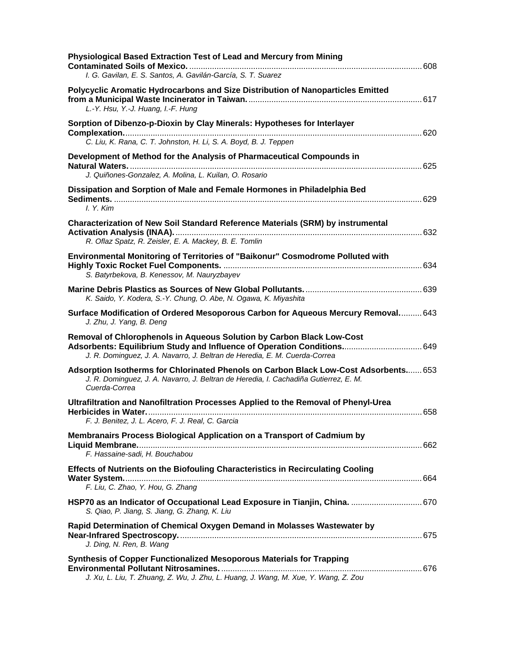| Physiological Based Extraction Test of Lead and Mercury from Mining                                                                                                                                                            |  |
|--------------------------------------------------------------------------------------------------------------------------------------------------------------------------------------------------------------------------------|--|
| I. G. Gavilan, E. S. Santos, A. Gavilán-García, S. T. Suarez                                                                                                                                                                   |  |
| Polycyclic Aromatic Hydrocarbons and Size Distribution of Nanoparticles Emitted<br>L.-Y. Hsu, Y.-J. Huang, I.-F. Hung                                                                                                          |  |
| Sorption of Dibenzo-p-Dioxin by Clay Minerals: Hypotheses for Interlayer<br>C. Liu, K. Rana, C. T. Johnston, H. Li, S. A. Boyd, B. J. Teppen                                                                                   |  |
| Development of Method for the Analysis of Pharmaceutical Compounds in<br>J. Quiñones-Gonzalez, A. Molina, L. Kuilan, O. Rosario                                                                                                |  |
| Dissipation and Sorption of Male and Female Hormones in Philadelphia Bed<br>$I. Y.$ Kim                                                                                                                                        |  |
| Characterization of New Soil Standard Reference Materials (SRM) by instrumental<br>R. Oflaz Spatz, R. Zeisler, E. A. Mackey, B. E. Tomlin                                                                                      |  |
| Environmental Monitoring of Territories of "Baikonur" Cosmodrome Polluted with<br>S. Batyrbekova, B. Kenessov, M. Nauryzbayev                                                                                                  |  |
| K. Saido, Y. Kodera, S.-Y. Chung, O. Abe, N. Ogawa, K. Miyashita                                                                                                                                                               |  |
| Surface Modification of Ordered Mesoporous Carbon for Aqueous Mercury Removal 643<br>J. Zhu, J. Yang, B. Deng                                                                                                                  |  |
| Removal of Chlorophenols in Aqueous Solution by Carbon Black Low-Cost<br>Adsorbents: Equilibrium Study and Influence of Operation Conditions 649<br>J. R. Dominguez, J. A. Navarro, J. Beltran de Heredia, E. M. Cuerda-Correa |  |
| Adsorption Isotherms for Chlorinated Phenols on Carbon Black Low-Cost Adsorbents 653<br>J. R. Dominguez, J. A. Navarro, J. Beltran de Heredia, I. Cachadiña Gutierrez, E. M.<br>Cuerda-Correa                                  |  |
| Ultrafiltration and Nanofiltration Processes Applied to the Removal of Phenyl-Urea<br>F. J. Benitez, J. L. Acero, F. J. Real, C. Garcia                                                                                        |  |
| Membranairs Process Biological Application on a Transport of Cadmium by<br>F. Hassaine-sadi, H. Bouchabou                                                                                                                      |  |
| <b>Effects of Nutrients on the Biofouling Characteristics in Recirculating Cooling</b><br>F. Liu, C. Zhao, Y. Hou, G. Zhang                                                                                                    |  |
| HSP70 as an Indicator of Occupational Lead Exposure in Tianjin, China.  670<br>S. Qiao, P. Jiang, S. Jiang, G. Zhang, K. Liu                                                                                                   |  |
| Rapid Determination of Chemical Oxygen Demand in Molasses Wastewater by<br>J. Ding, N. Ren, B. Wang                                                                                                                            |  |
| <b>Synthesis of Copper Functionalized Mesoporous Materials for Trapping</b><br>Environmental Pollutant Nitrosamines.<br>J. Xu, L. Liu, T. Zhuang, Z. Wu, J. Zhu, L. Huang, J. Wang, M. Xue, Y. Wang, Z. Zou                    |  |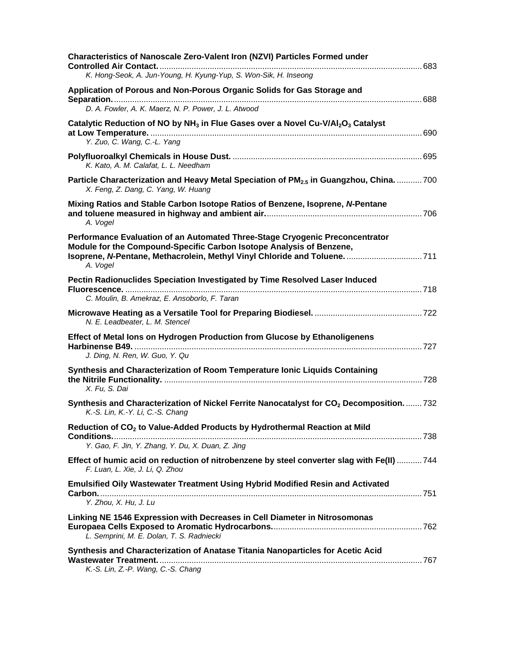| <b>Characteristics of Nanoscale Zero-Valent Iron (NZVI) Particles Formed under</b><br>K. Hong-Seok, A. Jun-Young, H. Kyung-Yup, S. Won-Sik, H. Inseong                                                                                         |  |
|------------------------------------------------------------------------------------------------------------------------------------------------------------------------------------------------------------------------------------------------|--|
|                                                                                                                                                                                                                                                |  |
| Application of Porous and Non-Porous Organic Solids for Gas Storage and                                                                                                                                                                        |  |
| D. A. Fowler, A. K. Maerz, N. P. Power, J. L. Atwood                                                                                                                                                                                           |  |
| Catalytic Reduction of NO by NH <sub>3</sub> in Flue Gases over a Novel Cu-V/Al <sub>2</sub> O <sub>3</sub> Catalyst<br>Y. Zuo, C. Wang, C.-L. Yang                                                                                            |  |
| K. Kato, A. M. Calafat, L. L. Needham                                                                                                                                                                                                          |  |
| Particle Characterization and Heavy Metal Speciation of PM <sub>2.5</sub> in Guangzhou, China700<br>X. Feng, Z. Dang, C. Yang, W. Huang                                                                                                        |  |
| Mixing Ratios and Stable Carbon Isotope Ratios of Benzene, Isoprene, N-Pentane<br>A. Vogel                                                                                                                                                     |  |
| Performance Evaluation of an Automated Three-Stage Cryogenic Preconcentrator<br>Module for the Compound-Specific Carbon Isotope Analysis of Benzene,<br>Isoprene, N-Pentane, Methacrolein, Methyl Vinyl Chloride and Toluene.  711<br>A. Vogel |  |
| Pectin Radionuclides Speciation Investigated by Time Resolved Laser Induced                                                                                                                                                                    |  |
| C. Moulin, B. Amekraz, E. Ansoborlo, F. Taran<br>N. E. Leadbeater, L. M. Stencel                                                                                                                                                               |  |
| Effect of Metal lons on Hydrogen Production from Glucose by Ethanoligenens<br>J. Ding, N. Ren, W. Guo, Y. Qu                                                                                                                                   |  |
| Synthesis and Characterization of Room Temperature Ionic Liquids Containing<br>X. Fu, S. Dai                                                                                                                                                   |  |
| Synthesis and Characterization of Nickel Ferrite Nanocatalyst for CO <sub>2</sub> Decomposition732<br>K.-S. Lin, K.-Y. Li, C.-S. Chang                                                                                                         |  |
| Reduction of CO <sub>2</sub> to Value-Added Products by Hydrothermal Reaction at Mild<br>Y. Gao, F. Jin, Y. Zhang, Y. Du, X. Duan, Z. Jing                                                                                                     |  |
| Effect of humic acid on reduction of nitrobenzene by steel converter slag with Fe(II) 744<br>F. Luan, L. Xie, J. Li, Q. Zhou                                                                                                                   |  |
| <b>Emulsified Oily Wastewater Treatment Using Hybrid Modified Resin and Activated</b><br>Y. Zhou, X. Hu, J. Lu                                                                                                                                 |  |
| Linking NE 1546 Expression with Decreases in Cell Diameter in Nitrosomonas<br>L. Semprini, M. E. Dolan, T. S. Radniecki                                                                                                                        |  |
| Synthesis and Characterization of Anatase Titania Nanoparticles for Acetic Acid<br>K.-S. Lin, Z.-P. Wang, C.-S. Chang                                                                                                                          |  |